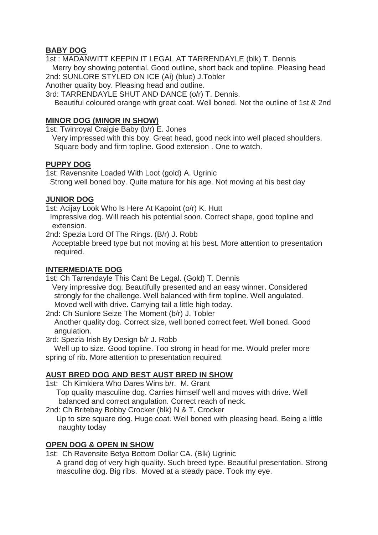## **BABY DOG**

1st : MADANWITT KEEPIN IT LEGAL AT TARRENDAYLE (blk) T. Dennis Merry boy showing potential. Good outline, short back and topline. Pleasing head 2nd: SUNLORE STYLED ON ICE (Ai) (blue) J.Tobler

Another quality boy. Pleasing head and outline.

3rd: TARRENDAYLE SHUT AND DANCE (o/r) T. Dennis.

Beautiful coloured orange with great coat. Well boned. Not the outline of 1st & 2nd

#### **MINOR DOG (MINOR IN SHOW)**

1st: Twinroyal Craigie Baby (b/r) E. Jones

Very impressed with this boy. Great head, good neck into well placed shoulders. Square body and firm topline. Good extension . One to watch.

#### **PUPPY DOG**

1st: Ravensnite Loaded With Loot (gold) A. Ugrinic Strong well boned boy. Quite mature for his age. Not moving at his best day

#### **JUNIOR DOG**

1st: Acijay Look Who Is Here At Kapoint (o/r) K. Hutt

Impressive dog. Will reach his potential soon. Correct shape, good topline and extension.

2nd: Spezia Lord Of The Rings. (B/r) J. Robb

Acceptable breed type but not moving at his best. More attention to presentation required.

#### **INTERMEDIATE DOG**

1st: Ch Tarrendayle This Cant Be Legal. (Gold) T. Dennis

Very impressive dog. Beautifully presented and an easy winner. Considered strongly for the challenge. Well balanced with firm topline. Well angulated. Moved well with drive. Carrying tail a little high today.

2nd: Ch Sunlore Seize The Moment (b/r) J. Tobler

Another quality dog. Correct size, well boned correct feet. Well boned. Good angulation.

3rd: Spezia Irish By Design b/r J. Robb

Well up to size. Good topline. Too strong in head for me. Would prefer more spring of rib. More attention to presentation required.

## **AUST BRED DOG AND BEST AUST BRED IN SHOW**

1st: Ch Kimkiera Who Dares Wins b/r. M. Grant

Top quality masculine dog. Carries himself well and moves with drive. Well balanced and correct angulation. Correct reach of neck.

2nd: Ch Britebay Bobby Crocker (blk) N & T. Crocker

Up to size square dog. Huge coat. Well boned with pleasing head. Being a little naughty today

# **OPEN DOG & OPEN IN SHOW**

1st: Ch Ravensite Betya Bottom Dollar CA. (Blk) Ugrinic

A grand dog of very high quality. Such breed type. Beautiful presentation. Strong masculine dog. Big ribs. Moved at a steady pace. Took my eye.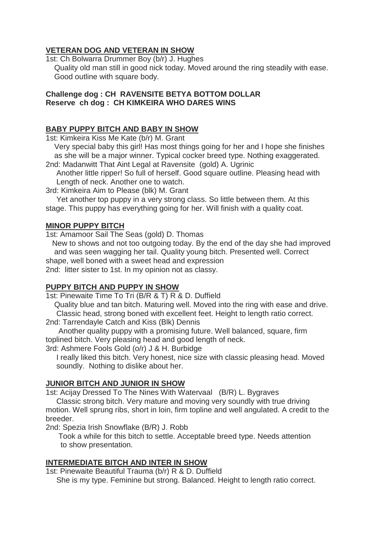# **VETERAN DOG AND VETERAN IN SHOW**

1st: Ch Bolwarra Drummer Boy (b/r) J. Hughes Quality old man still in good nick today. Moved around the ring steadily with ease. Good outline with square body.

#### **Challenge dog : CH RAVENSITE BETYA BOTTOM DOLLAR Reserve ch dog : CH KIMKEIRA WHO DARES WINS**

#### **BABY PUPPY BITCH AND BABY IN SHOW**

1st: Kimkeira Kiss Me Kate (b/r) M. Grant

Very special baby this girl! Has most things going for her and I hope she finishes as she will be a major winner. Typical cocker breed type. Nothing exaggerated. 2nd: Madanwitt That Aint Legal at Ravensite (gold) A. Ugrinic

Another little ripper! So full of herself. Good square outline. Pleasing head with Length of neck. Another one to watch.

3rd: Kimkeira Aim to Please (blk) M. Grant

Yet another top puppy in a very strong class. So little between them. At this stage. This puppy has everything going for her. Will finish with a quality coat.

## **MINOR PUPPY BITCH**

1st: Amamoor Sail The Seas (gold) D. Thomas

New to shows and not too outgoing today. By the end of the day she had improved and was seen wagging her tail. Quality young bitch. Presented well. Correct shape, well boned with a sweet head and expression 2nd: litter sister to 1st. In my opinion not as classy.

## **PUPPY BITCH AND PUPPY IN SHOW**

1st: Pinewaite Time To Tri (B/R & T) R & D. Duffield

Quality blue and tan bitch. Maturing well. Moved into the ring with ease and drive. Classic head, strong boned with excellent feet. Height to length ratio correct.

2nd: Tarrendayle Catch and Kiss (Blk) Dennis

Another quality puppy with a promising future. Well balanced, square, firm toplined bitch. Very pleasing head and good length of neck.

3rd: Ashmere Fools Gold (o/r) J & H. Burbidge

I really liked this bitch. Very honest, nice size with classic pleasing head. Moved soundly. Nothing to dislike about her.

## **JUNIOR BITCH AND JUNIOR IN SHOW**

1st: Acijay Dressed To The Nines With Watervaal (B/R) L. Bygraves

Classic strong bitch. Very mature and moving very soundly with true driving motion. Well sprung ribs, short in loin, firm topline and well angulated. A credit to the breeder.

2nd: Spezia Irish Snowflake (B/R) J. Robb

Took a while for this bitch to settle. Acceptable breed type. Needs attention to show presentation.

## **INTERMEDIATE BITCH AND INTER IN SHOW**

1st: Pinewaite Beautiful Trauma (b/r) R & D. Duffield

She is my type. Feminine but strong. Balanced. Height to length ratio correct.